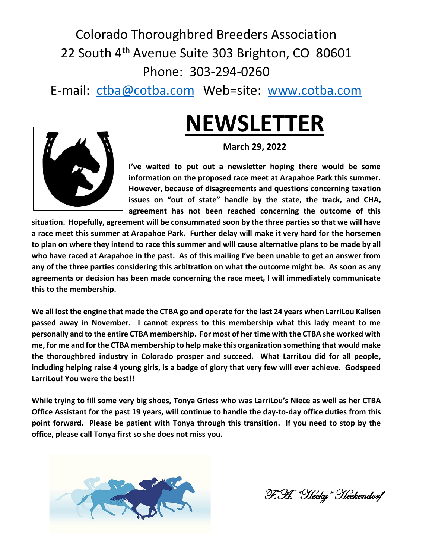Colorado Thoroughbred Breeders Association 22 South 4<sup>th</sup> Avenue Suite 303 Brighton, CO 80601 Phone: 303-294-0260

E-mail: [ctba@cotba.com](mailto:ctba@cotba.com) Web=site: [www.cotba.com](http://www.cotba.com/)

# **NEWSLETTER**



**I've waited to put out a newsletter hoping there would be some information on the proposed race meet at Arapahoe Park this summer. However, because of disagreements and questions concerning taxation issues on "out of state" handle by the state, the track, and CHA, agreement has not been reached concerning the outcome of this** 

**situation. Hopefully, agreement will be consummated soon by the three parties so that we will have a race meet this summer at Arapahoe Park. Further delay will make it very hard for the horsemen to plan on where they intend to race this summer and will cause alternative plans to be made by all who have raced at Arapahoe in the past. As of this mailing I've been unable to get an answer from any of the three parties considering this arbitration on what the outcome might be. As soon as any agreements or decision has been made concerning the race meet, I will immediately communicate this to the membership.** 

**We all lost the engine that made the CTBA go and operate for the last 24 years when LarriLou Kallsen passed away in November. I cannot express to this membership what this lady meant to me personally and to the entire CTBA membership. For most of her time with the CTBA she worked with me, for me and for the CTBA membership to help make this organization something that would make the thoroughbred industry in Colorado prosper and succeed. What LarriLou did for all people, including helping raise 4 young girls, is a badge of glory that very few will ever achieve. Godspeed LarriLou! You were the best!!**

**While trying to fill some very big shoes, Tonya Griess who was LarriLou's Niece as well as her CTBA Office Assistant for the past 19 years, will continue to handle the day-to-day office duties from this point forward. Please be patient with Tonya through this transition. If you need to stop by the office, please call Tonya first so she does not miss you.** 



F.A. "Hecky" Heckendorf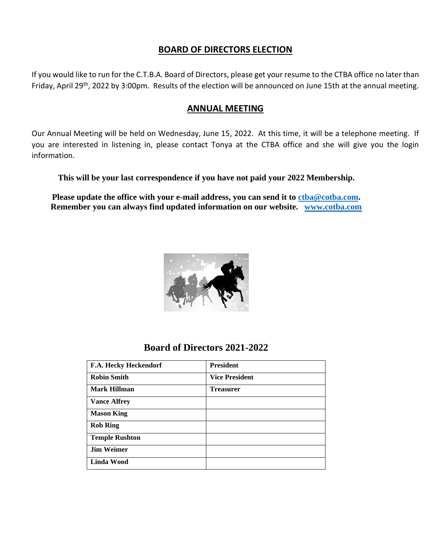### **BOARD OF DIRECTORS ELECTION**

If you would like to run for the C.T.B.A. Board of Directors, please get your resume to the CTBA office no later than Friday, April 29<sup>th</sup>, 2022 by 3:00pm. Results of the election will be announced on June 15th at the annual meeting.

#### **ANNUAL MEETING**

Our Annual Meeting will be held on Wednesday, June 15, 2022. At this time, it will be a telephone meeting. If you are interested in listening in, please contact Tonya at the CTBA office and she will give you the login information.

**This will be your last correspondence if you have not paid your 2022 Membership.**

**Please update the office with your e-mail address, you can send it to [ctba@cotba.com.](mailto:ctba@cotba.com) Remember you can always find updated information on our website. [www.cotba.com](http://www.cotba.com/)**



### **Board of Directors 2021-2022**

| F.A. Hecky Heckendorf | <b>President</b>      |
|-----------------------|-----------------------|
| <b>Robin Smith</b>    | <b>Vice President</b> |
| <b>Mark Hillman</b>   | <b>Treasurer</b>      |
| <b>Vance Alfrey</b>   |                       |
| <b>Mason King</b>     |                       |
| <b>Rob Ring</b>       |                       |
| <b>Temple Rushton</b> |                       |
| <b>Jim Weimer</b>     |                       |
| Linda Wood            |                       |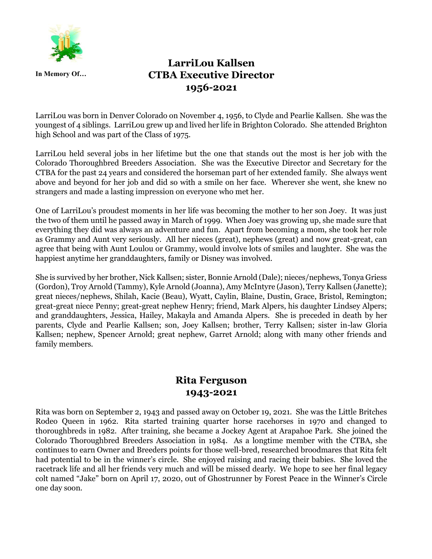

**In Memory Of…**

## **LarriLou Kallsen CTBA Executive Director 1956-2021**

LarriLou was born in Denver Colorado on November 4, 1956, to Clyde and Pearlie Kallsen. She was the youngest of 4 siblings. LarriLou grew up and lived her life in Brighton Colorado. She attended Brighton high School and was part of the Class of 1975.

LarriLou held several jobs in her lifetime but the one that stands out the most is her job with the Colorado Thoroughbred Breeders Association. She was the Executive Director and Secretary for the CTBA for the past 24 years and considered the horseman part of her extended family. She always went above and beyond for her job and did so with a smile on her face. Wherever she went, she knew no strangers and made a lasting impression on everyone who met her.

One of LarriLou's proudest moments in her life was becoming the mother to her son Joey. It was just the two of them until he passed away in March of 1999. When Joey was growing up, she made sure that everything they did was always an adventure and fun. Apart from becoming a mom, she took her role as Grammy and Aunt very seriously. All her nieces (great), nephews (great) and now great-great, can agree that being with Aunt Loulou or Grammy, would involve lots of smiles and laughter. She was the happiest anytime her granddaughters, family or Disney was involved.

She is survived by her brother, Nick Kallsen; sister, Bonnie Arnold (Dale); nieces/nephews, Tonya Griess (Gordon), Troy Arnold (Tammy), Kyle Arnold (Joanna), Amy McIntyre (Jason), Terry Kallsen (Janette); great nieces/nephews, Shilah, Kacie (Beau), Wyatt, Caylin, Blaine, Dustin, Grace, Bristol, Remington; great-great niece Penny; great-great nephew Henry; friend, Mark Alpers, his daughter Lindsey Alpers; and granddaughters, Jessica, Hailey, Makayla and Amanda Alpers. She is preceded in death by her parents, Clyde and Pearlie Kallsen; son, Joey Kallsen; brother, Terry Kallsen; sister in-law Gloria Kallsen; nephew, Spencer Arnold; great nephew, Garret Arnold; along with many other friends and family members.

## **Rita Ferguson 1943-2021**

Rita was born on September 2, 1943 and passed away on October 19, 2021. She was the Little Britches Rodeo Queen in 1962. Rita started training quarter horse racehorses in 1970 and changed to thoroughbreds in 1982. After training, she became a Jockey Agent at Arapahoe Park. She joined the Colorado Thoroughbred Breeders Association in 1984. As a longtime member with the CTBA, she continues to earn Owner and Breeders points for those well-bred, researched broodmares that Rita felt had potential to be in the winner's circle. She enjoyed raising and racing their babies. She loved the racetrack life and all her friends very much and will be missed dearly. We hope to see her final legacy colt named "Jake" born on April 17, 2020, out of Ghostrunner by Forest Peace in the Winner's Circle one day soon.